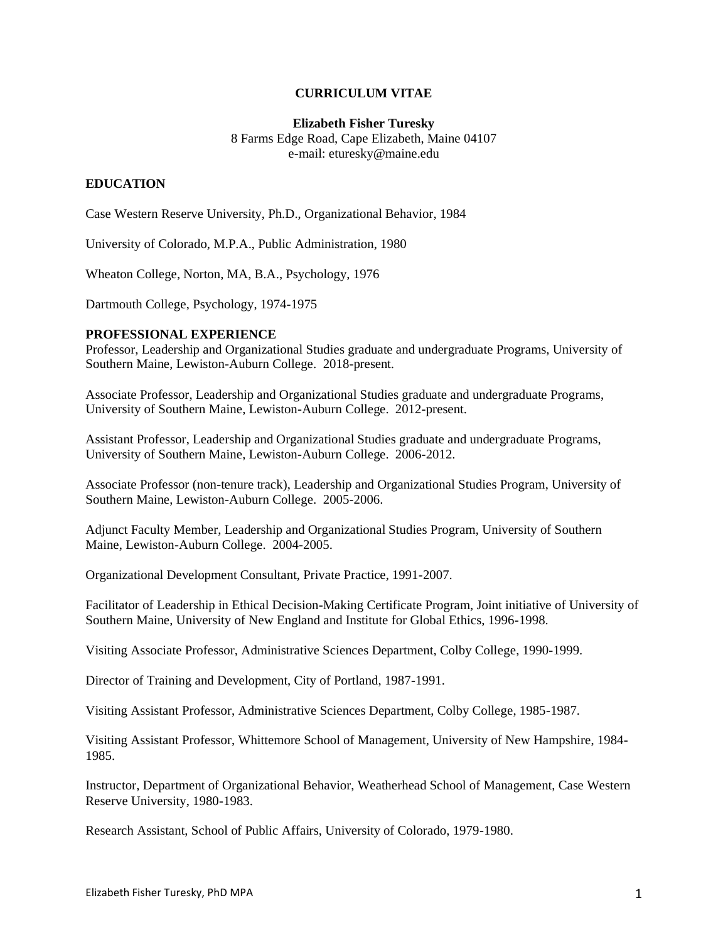### **CURRICULUM VITAE**

#### **Elizabeth Fisher Turesky**

8 Farms Edge Road, Cape Elizabeth, Maine 04107 e-mail: eturesky@maine.edu

## **EDUCATION**

Case Western Reserve University, Ph.D., Organizational Behavior, 1984

University of Colorado, M.P.A., Public Administration, 1980

Wheaton College, Norton, MA, B.A., Psychology, 1976

Dartmouth College, Psychology, 1974-1975

## **PROFESSIONAL EXPERIENCE**

Professor, Leadership and Organizational Studies graduate and undergraduate Programs, University of Southern Maine, Lewiston-Auburn College. 2018-present.

Associate Professor, Leadership and Organizational Studies graduate and undergraduate Programs, University of Southern Maine, Lewiston-Auburn College. 2012-present.

Assistant Professor, Leadership and Organizational Studies graduate and undergraduate Programs, University of Southern Maine, Lewiston-Auburn College. 2006-2012.

Associate Professor (non-tenure track), Leadership and Organizational Studies Program, University of Southern Maine, Lewiston-Auburn College. 2005-2006.

Adjunct Faculty Member, Leadership and Organizational Studies Program, University of Southern Maine, Lewiston-Auburn College. 2004-2005.

Organizational Development Consultant, Private Practice, 1991-2007.

Facilitator of Leadership in Ethical Decision-Making Certificate Program, Joint initiative of University of Southern Maine, University of New England and Institute for Global Ethics, 1996-1998.

Visiting Associate Professor, Administrative Sciences Department, Colby College, 1990-1999.

Director of Training and Development, City of Portland, 1987-1991.

Visiting Assistant Professor, Administrative Sciences Department, Colby College, 1985-1987.

Visiting Assistant Professor, Whittemore School of Management, University of New Hampshire, 1984- 1985.

Instructor, Department of Organizational Behavior, Weatherhead School of Management, Case Western Reserve University, 1980-1983.

Research Assistant, School of Public Affairs, University of Colorado, 1979-1980.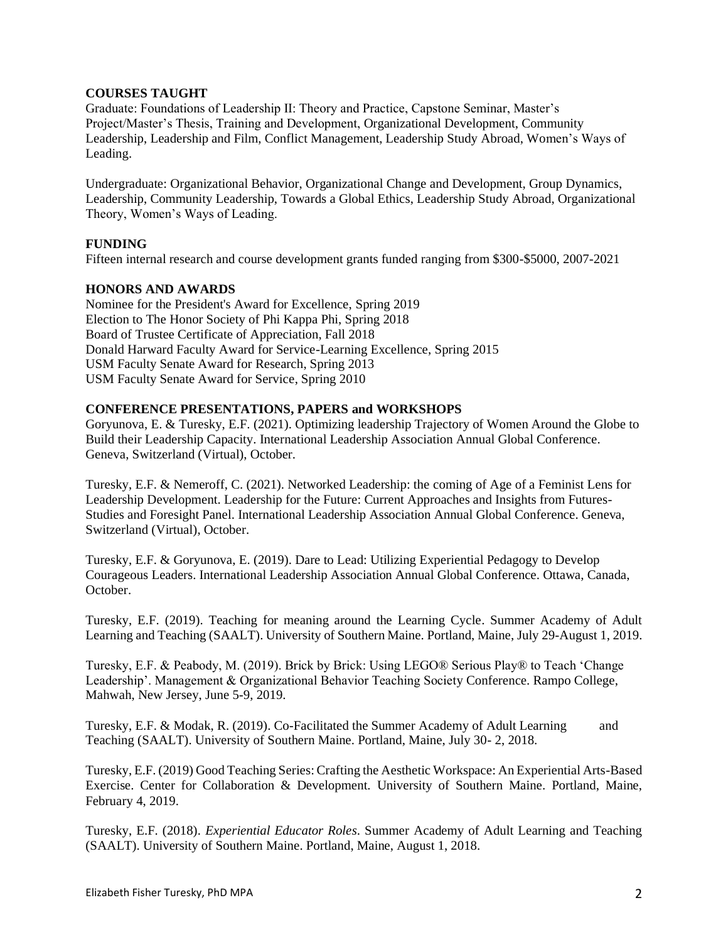## **COURSES TAUGHT**

Graduate: Foundations of Leadership II: Theory and Practice, Capstone Seminar, Master's Project/Master's Thesis, Training and Development, Organizational Development, Community Leadership, Leadership and Film, Conflict Management, Leadership Study Abroad, Women's Ways of Leading.

Undergraduate: Organizational Behavior, Organizational Change and Development, Group Dynamics, Leadership, Community Leadership, Towards a Global Ethics, Leadership Study Abroad, Organizational Theory, Women's Ways of Leading.

### **FUNDING**

Fifteen internal research and course development grants funded ranging from \$300-\$5000, 2007-2021

### **HONORS AND AWARDS**

Nominee for the President's Award for Excellence, Spring 2019 Election to The Honor Society of Phi Kappa Phi, Spring 2018 Board of Trustee Certificate of Appreciation, Fall 2018 Donald Harward Faculty Award for Service-Learning Excellence, Spring 2015 USM Faculty Senate Award for Research, Spring 2013 USM Faculty Senate Award for Service, Spring 2010

### **CONFERENCE PRESENTATIONS, PAPERS and WORKSHOPS**

Goryunova, E. & Turesky, E.F. (2021). Optimizing leadership Trajectory of Women Around the Globe to Build their Leadership Capacity. International Leadership Association Annual Global Conference. Geneva, Switzerland (Virtual), October.

Turesky, E.F. & Nemeroff, C. (2021). Networked Leadership: the coming of Age of a Feminist Lens for Leadership Development. Leadership for the Future: Current Approaches and Insights from Futures-Studies and Foresight Panel. International Leadership Association Annual Global Conference. Geneva, Switzerland (Virtual), October.

Turesky, E.F. & Goryunova, E. (2019). Dare to Lead: Utilizing Experiential Pedagogy to Develop Courageous Leaders. International Leadership Association Annual Global Conference. Ottawa, Canada, October.

Turesky, E.F. (2019). Teaching for meaning around the Learning Cycle. Summer Academy of Adult Learning and Teaching (SAALT). University of Southern Maine. Portland, Maine, July 29-August 1, 2019.

Turesky, E.F. & Peabody, M. (2019). Brick by Brick: Using LEGO® Serious Play® to Teach 'Change Leadership'. Management & Organizational Behavior Teaching Society Conference. Rampo College, Mahwah, New Jersey, June 5-9, 2019.

Turesky, E.F. & Modak, R. (2019). Co-Facilitated the Summer Academy of Adult Learning and Teaching (SAALT). University of Southern Maine. Portland, Maine, July 30- 2, 2018.

Turesky, E.F. (2019) Good Teaching Series: Crafting the Aesthetic Workspace: An Experiential Arts-Based Exercise. Center for Collaboration & Development. University of Southern Maine. Portland, Maine, February 4, 2019.

Turesky, E.F. (2018). *Experiential Educator Roles*. Summer Academy of Adult Learning and Teaching (SAALT). University of Southern Maine. Portland, Maine, August 1, 2018.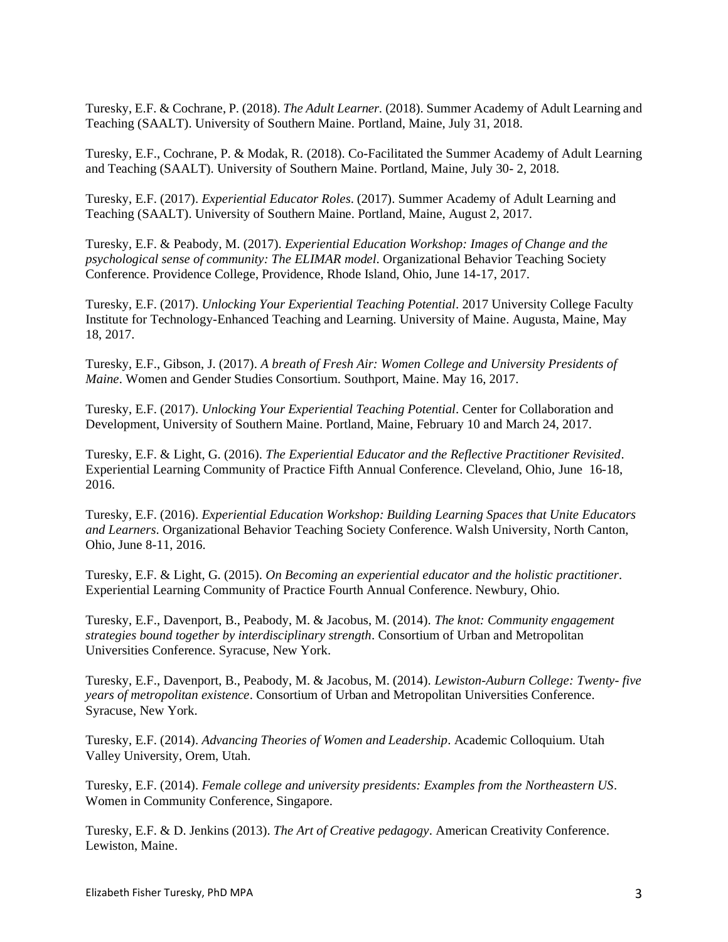Turesky, E.F. & Cochrane, P. (2018). *The Adult Learner.* (2018). Summer Academy of Adult Learning and Teaching (SAALT). University of Southern Maine. Portland, Maine, July 31, 2018.

Turesky, E.F., Cochrane, P. & Modak, R. (2018). Co-Facilitated the Summer Academy of Adult Learning and Teaching (SAALT). University of Southern Maine. Portland, Maine, July 30- 2, 2018.

Turesky, E.F. (2017). *Experiential Educator Roles*. (2017). Summer Academy of Adult Learning and Teaching (SAALT). University of Southern Maine. Portland, Maine, August 2, 2017.

Turesky, E.F. & Peabody, M. (2017). *Experiential Education Workshop: Images of Change and the psychological sense of community: The ELIMAR model*. Organizational Behavior Teaching Society Conference. Providence College, Providence, Rhode Island, Ohio, June 14-17, 2017.

Turesky, E.F. (2017). *Unlocking Your Experiential Teaching Potential*. 2017 University College Faculty Institute for Technology-Enhanced Teaching and Learning. University of Maine. Augusta, Maine, May 18, 2017.

Turesky, E.F., Gibson, J. (2017). *A breath of Fresh Air: Women College and University Presidents of Maine*. Women and Gender Studies Consortium. Southport, Maine. May 16, 2017.

Turesky, E.F. (2017). *Unlocking Your Experiential Teaching Potential*. Center for Collaboration and Development, University of Southern Maine. Portland, Maine, February 10 and March 24, 2017.

Turesky, E.F. & Light, G. (2016). *The Experiential Educator and the Reflective Practitioner Revisited*. Experiential Learning Community of Practice Fifth Annual Conference. Cleveland, Ohio, June 16-18, 2016.

Turesky, E.F. (2016). *Experiential Education Workshop: Building Learning Spaces that Unite Educators and Learners*. Organizational Behavior Teaching Society Conference. Walsh University, North Canton, Ohio, June 8-11, 2016.

Turesky, E.F. & Light, G. (2015). *On Becoming an experiential educator and the holistic practitioner*. Experiential Learning Community of Practice Fourth Annual Conference. Newbury, Ohio.

Turesky, E.F., Davenport, B., Peabody, M. & Jacobus, M. (2014). *The knot: Community engagement strategies bound together by interdisciplinary strength*. Consortium of Urban and Metropolitan Universities Conference. Syracuse, New York.

Turesky, E.F., Davenport, B., Peabody, M. & Jacobus, M. (2014). *Lewiston-Auburn College: Twenty- five years of metropolitan existence*. Consortium of Urban and Metropolitan Universities Conference. Syracuse, New York.

Turesky, E.F. (2014). *Advancing Theories of Women and Leadership*. Academic Colloquium. Utah Valley University, Orem, Utah.

Turesky, E.F. (2014). *Female college and university presidents: Examples from the Northeastern US*. Women in Community Conference, Singapore.

Turesky, E.F. & D. Jenkins (2013). *The Art of Creative pedagogy*. American Creativity Conference. Lewiston, Maine.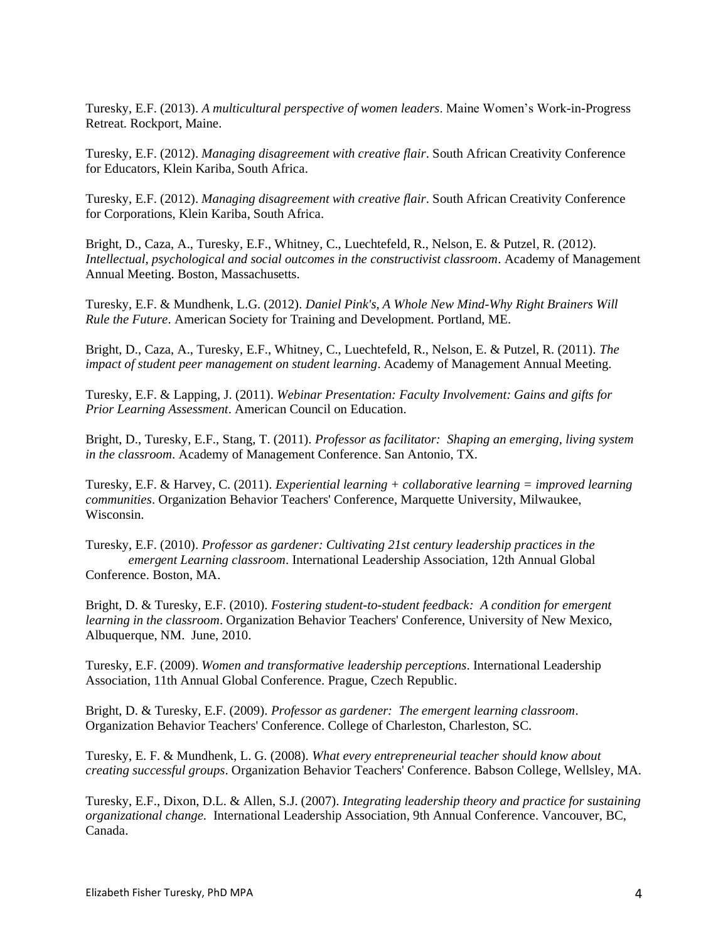Turesky, E.F. (2013). *A multicultural perspective of women leaders*. Maine Women's Work-in-Progress Retreat. Rockport, Maine.

Turesky, E.F. (2012). *Managing disagreement with creative flair*. South African Creativity Conference for Educators, Klein Kariba, South Africa.

Turesky, E.F. (2012). *Managing disagreement with creative flair*. South African Creativity Conference for Corporations, Klein Kariba, South Africa.

Bright, D., Caza, A., Turesky, E.F., Whitney, C., Luechtefeld, R., Nelson, E. & Putzel, R. (2012). *Intellectual, psychological and social outcomes in the constructivist classroom*. Academy of Management Annual Meeting. Boston, Massachusetts.

Turesky, E.F. & Mundhenk, L.G. (2012). *Daniel Pink's, A Whole New Mind-Why Right Brainers Will Rule the Future*. American Society for Training and Development. Portland, ME.

Bright, D., Caza, A., Turesky, E.F., Whitney, C., Luechtefeld, R., Nelson, E. & Putzel, R. (2011). *The impact of student peer management on student learning*. Academy of Management Annual Meeting.

Turesky, E.F. & Lapping, J. (2011). *Webinar Presentation: Faculty Involvement: Gains and gifts for Prior Learning Assessment*. American Council on Education.

Bright, D., Turesky, E.F., Stang, T. (2011). *Professor as facilitator: Shaping an emerging, living system in the classroom*. Academy of Management Conference. San Antonio, TX.

Turesky, E.F. & Harvey, C. (2011). *Experiential learning + collaborative learning = improved learning communities*. Organization Behavior Teachers' Conference, Marquette University, Milwaukee, Wisconsin.

Turesky, E.F. (2010). *Professor as gardener: Cultivating 21st century leadership practices in the emergent Learning classroom*. International Leadership Association, 12th Annual Global Conference. Boston, MA.

Bright, D. & Turesky, E.F. (2010). *Fostering student-to-student feedback: A condition for emergent learning in the classroom*. Organization Behavior Teachers' Conference, University of New Mexico, Albuquerque, NM. June, 2010.

Turesky, E.F. (2009). *Women and transformative leadership perceptions*. International Leadership Association, 11th Annual Global Conference. Prague, Czech Republic.

Bright, D. & Turesky, E.F. (2009). *Professor as gardener: The emergent learning classroom*. Organization Behavior Teachers' Conference. College of Charleston, Charleston, SC.

Turesky, E. F. & Mundhenk, L. G. (2008). *What every entrepreneurial teacher should know about creating successful groups*. Organization Behavior Teachers' Conference. Babson College, Wellsley, MA.

Turesky, E.F., Dixon, D.L. & Allen, S.J. (2007). *Integrating leadership theory and practice for sustaining organizational change.* International Leadership Association, 9th Annual Conference. Vancouver, BC, Canada.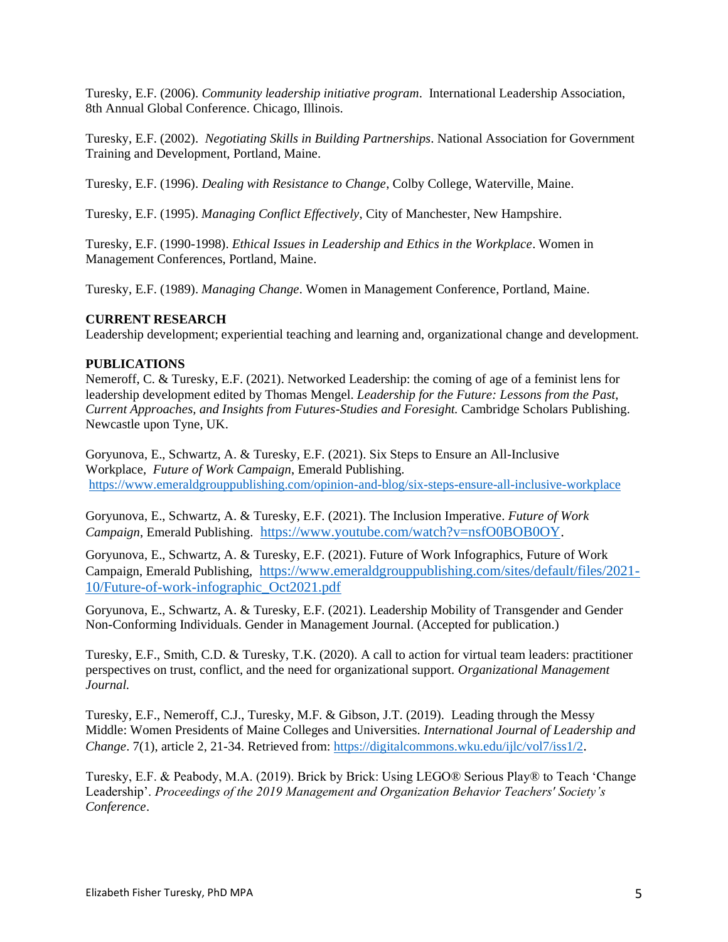Turesky, E.F. (2006). *Community leadership initiative program*. International Leadership Association, 8th Annual Global Conference. Chicago, Illinois.

Turesky, E.F. (2002). *Negotiating Skills in Building Partnerships*. National Association for Government Training and Development, Portland, Maine.

Turesky, E.F. (1996). *Dealing with Resistance to Change*, Colby College, Waterville, Maine.

Turesky, E.F. (1995). *Managing Conflict Effectively*, City of Manchester, New Hampshire.

Turesky, E.F. (1990-1998). *Ethical Issues in Leadership and Ethics in the Workplace*. Women in Management Conferences, Portland, Maine.

Turesky, E.F. (1989). *Managing Change*. Women in Management Conference, Portland, Maine.

#### **CURRENT RESEARCH**

Leadership development; experiential teaching and learning and, organizational change and development.

#### **PUBLICATIONS**

Nemeroff, C. & Turesky, E.F. (2021). Networked Leadership: the coming of age of a feminist lens for leadership development edited by Thomas Mengel. *Leadership for the Future: Lessons from the Past, Current Approaches, and Insights from Futures-Studies and Foresight.* Cambridge Scholars Publishing. Newcastle upon Tyne, UK.

Goryunova, E., Schwartz, A. & Turesky, E.F. (2021). Six Steps to Ensure an All-Inclusive Workplace, *Future of Work Campaign*, Emerald Publishing. <https://www.emeraldgrouppublishing.com/opinion-and-blog/six-steps-ensure-all-inclusive-workplace>

Goryunova, E., Schwartz, A. & Turesky, E.F. (2021). The Inclusion Imperative. *Future of Work Campaign*, Emerald Publishing.[https://www.youtube.com/watch?v=nsfO0BOB0OY.](https://www.youtube.com/watch?v=nsfO0BOB0OY)

Goryunova, E., Schwartz, A. & Turesky, E.F. (2021). Future of Work Infographics, Future of Work Campaign, Emerald Publishing, [https://www.emeraldgrouppublishing.com/sites/default/files/2021-](https://www.emeraldgrouppublishing.com/sites/default/files/2021-10/Future-of-work-infographic_Oct2021.pdf) [10/Future-of-work-infographic\\_Oct2021.pdf](https://www.emeraldgrouppublishing.com/sites/default/files/2021-10/Future-of-work-infographic_Oct2021.pdf)

Goryunova, E., Schwartz, A. & Turesky, E.F. (2021). Leadership Mobility of Transgender and Gender Non-Conforming Individuals. Gender in Management Journal. (Accepted for publication.)

Turesky, E.F., Smith, C.D. & Turesky, T.K. (2020). A call to action for virtual team leaders: practitioner perspectives on trust, conflict, and the need for organizational support. *Organizational Management Journal.* 

Turesky, E.F., Nemeroff, C.J., Turesky, M.F. & Gibson, J.T. (2019). Leading through the Messy Middle: Women Presidents of Maine Colleges and Universities. *International Journal of Leadership and Change*. 7(1), article 2, 21-34. Retrieved from: <https://digitalcommons.wku.edu/ijlc/vol7/iss1/2>.

Turesky, E.F. & Peabody, M.A. (2019). Brick by Brick: Using LEGO® Serious Play® to Teach 'Change Leadership'. *Proceedings of the 2019 Management and Organization Behavior Teachers' Society's Conference*.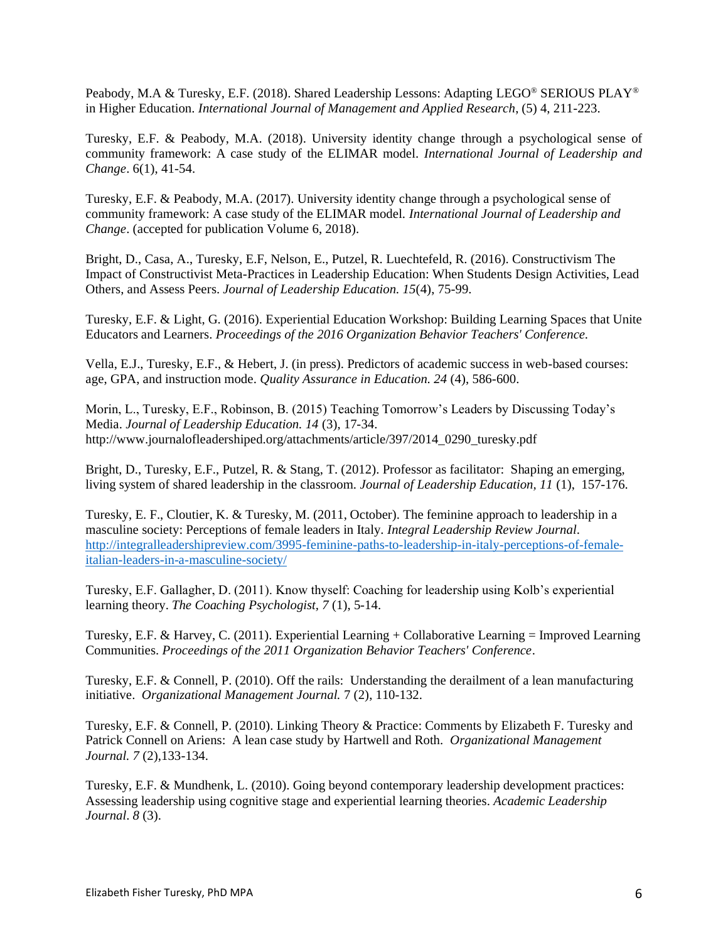Peabody, M.A & Turesky, E.F. (2018). Shared Leadership Lessons: Adapting LEGO® SERIOUS PLAY® in Higher Education. *International Journal of Management and Applied Research*, (5) 4, 211-223.

Turesky, E.F. & Peabody, M.A. (2018). University identity change through a psychological sense of community framework: A case study of the ELIMAR model. *International Journal of Leadership and Change*. 6(1), 41-54.

Turesky, E.F. & Peabody, M.A. (2017). University identity change through a psychological sense of community framework: A case study of the ELIMAR model. *International Journal of Leadership and Change*. (accepted for publication Volume 6, 2018).

Bright, D., Casa, A., Turesky, E.F, Nelson, E., Putzel, R. Luechtefeld, R. (2016). Constructivism The Impact of Constructivist Meta-Practices in Leadership Education: When Students Design Activities, Lead Others, and Assess Peers. *Journal of Leadership Education. 15*(4), 75-99.

Turesky, E.F. & Light, G. (2016). Experiential Education Workshop: Building Learning Spaces that Unite Educators and Learners. *Proceedings of the 2016 Organization Behavior Teachers' Conference.*

Vella, E.J., Turesky, E.F., & Hebert, J. (in press). Predictors of academic success in web-based courses: age, GPA, and instruction mode. *Quality Assurance in Education. 24* (4), 586-600.

Morin, L., Turesky, E.F., Robinson, B. (2015) Teaching Tomorrow's Leaders by Discussing Today's Media. *Journal of Leadership Education. 14* (3), 17-34. http://www.journalofleadershiped.org/attachments/article/397/2014\_0290\_turesky.pdf

Bright, D., Turesky, E.F., Putzel, R. & Stang, T. (2012). Professor as facilitator: Shaping an emerging, living system of shared leadership in the classroom. *Journal of Leadership Education, 11* (1), 157-176.

Turesky, E. F., Cloutier, K. & Turesky, M. (2011, October). The feminine approach to leadership in a masculine society: Perceptions of female leaders in Italy. *Integral Leadership Review Journal*. [http://integralleadershipreview.com/3995-feminine-paths-to-leadership-in-italy-perceptions-of-female](http://integralleadershipreview.com/3995-feminine-paths-to-leadership-in-italy-perceptions-of-female-italian-leaders-in-a-masculine-society/)[italian-leaders-in-a-masculine-society/](http://integralleadershipreview.com/3995-feminine-paths-to-leadership-in-italy-perceptions-of-female-italian-leaders-in-a-masculine-society/)

Turesky, E.F. Gallagher, D. (2011). Know thyself: Coaching for leadership using Kolb's experiential learning theory. *The Coaching Psychologist, 7* (1), 5-14.

Turesky, E.F. & Harvey, C. (2011). Experiential Learning + Collaborative Learning = Improved Learning Communities. *Proceedings of the 2011 Organization Behavior Teachers' Conference*.

Turesky, E.F. & Connell, P. (2010). Off the rails: Understanding the derailment of a lean manufacturing initiative. *Organizational Management Journal.* 7 (2), 110-132.

Turesky, E.F. & Connell, P. (2010). Linking Theory & Practice: Comments by Elizabeth F. Turesky and Patrick Connell on Ariens: A lean case study by Hartwell and Roth. *Organizational Management Journal. 7* (2),133-134.

Turesky, E.F. & Mundhenk, L. (2010). Going beyond contemporary leadership development practices: Assessing leadership using cognitive stage and experiential learning theories. *Academic Leadership Journal*. *8* (3).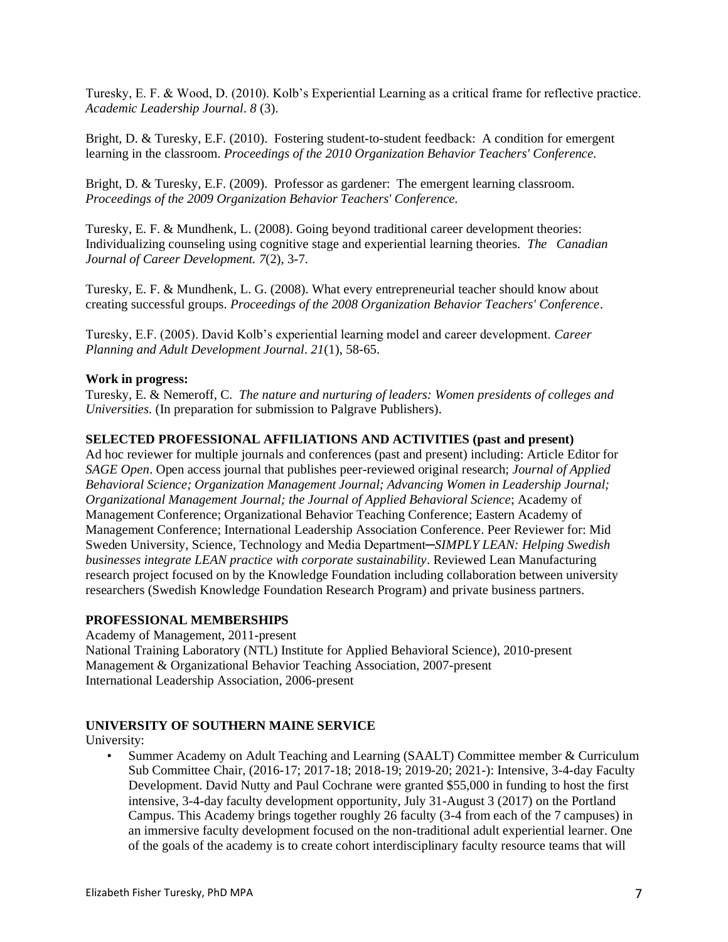Turesky, E. F. & Wood, D. (2010). Kolb's Experiential Learning as a critical frame for reflective practice. *Academic Leadership Journal*. *8* (3).

Bright, D. & Turesky, E.F. (2010). Fostering student-to-student feedback: A condition for emergent learning in the classroom. *Proceedings of the 2010 Organization Behavior Teachers' Conference.*

Bright, D. & Turesky, E.F. (2009). Professor as gardener: The emergent learning classroom. *Proceedings of the 2009 Organization Behavior Teachers' Conference.*

Turesky, E. F. & Mundhenk, L. (2008). Going beyond traditional career development theories: Individualizing counseling using cognitive stage and experiential learning theories*. The Canadian Journal of Career Development. 7*(2), 3-7.

Turesky, E. F. & Mundhenk, L. G. (2008). What every entrepreneurial teacher should know about creating successful groups. *Proceedings of the 2008 Organization Behavior Teachers' Conference*.

Turesky, E.F. (2005). David Kolb's experiential learning model and career development. *Career Planning and Adult Development Journal*. *21*(1), 58-65.

### **Work in progress:**

Turesky, E. & Nemeroff, C.*The nature and nurturing of leaders: Women presidents of colleges and Universities.* (In preparation for submission to Palgrave Publishers).

### **SELECTED PROFESSIONAL AFFILIATIONS AND ACTIVITIES (past and present)**

Ad hoc reviewer for multiple journals and conferences (past and present) including: Article Editor for *SAGE Open*. Open access journal that publishes peer-reviewed original research; *Journal of Applied Behavioral Science; Organization Management Journal; Advancing Women in Leadership Journal; Organizational Management Journal; the Journal of Applied Behavioral Science*; Academy of Management Conference; Organizational Behavior Teaching Conference; Eastern Academy of Management Conference; International Leadership Association Conference. Peer Reviewer for: Mid Sweden University, Science, Technology and Media Department─*SIMPLY LEAN: Helping Swedish businesses integrate LEAN practice with corporate sustainability*. Reviewed Lean Manufacturing research project focused on by the Knowledge Foundation including collaboration between university researchers (Swedish Knowledge Foundation Research Program) and private business partners.

#### **PROFESSIONAL MEMBERSHIPS**

Academy of Management, 2011-present National Training Laboratory (NTL) Institute for Applied Behavioral Science), 2010-present Management & Organizational Behavior Teaching Association, 2007-present International Leadership Association, 2006-present

## **UNIVERSITY OF SOUTHERN MAINE SERVICE**

University:

• Summer Academy on Adult Teaching and Learning (SAALT) Committee member & Curriculum Sub Committee Chair, (2016-17; 2017-18; 2018-19; 2019-20; 2021-): Intensive, 3-4-day Faculty Development. David Nutty and Paul Cochrane were granted \$55,000 in funding to host the first intensive, 3-4-day faculty development opportunity, July 31-August 3 (2017) on the Portland Campus. This Academy brings together roughly 26 faculty (3-4 from each of the 7 campuses) in an immersive faculty development focused on the non-traditional adult experiential learner. One of the goals of the academy is to create cohort interdisciplinary faculty resource teams that will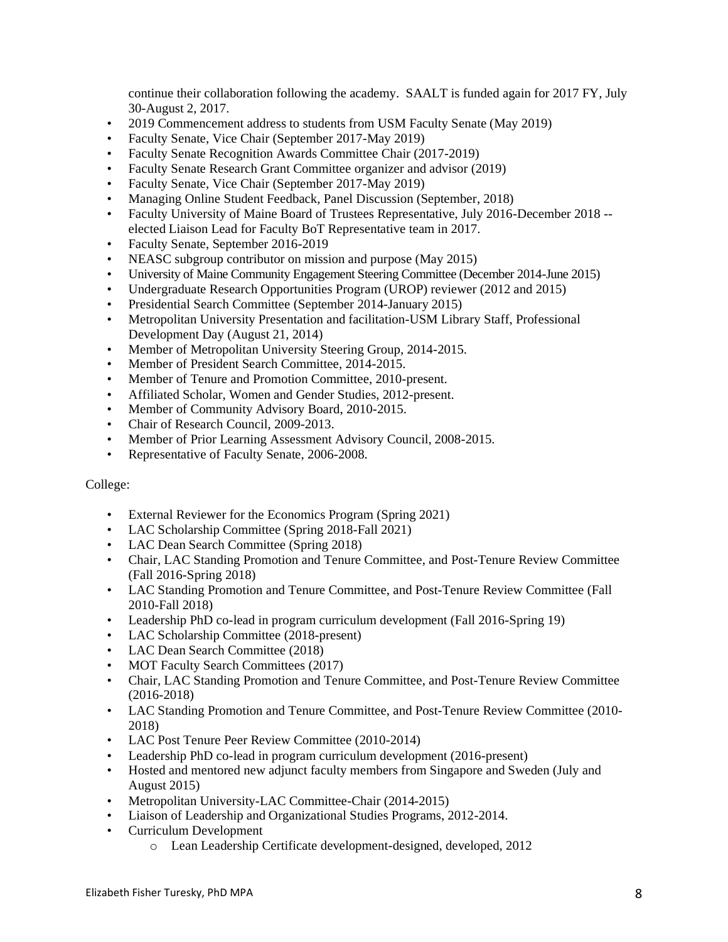continue their collaboration following the academy. SAALT is funded again for 2017 FY, July 30-August 2, 2017.

- 2019 Commencement address to students from USM Faculty Senate (May 2019)
- Faculty Senate, Vice Chair (September 2017-May 2019)
- Faculty Senate Recognition Awards Committee Chair (2017-2019)
- Faculty Senate Research Grant Committee organizer and advisor (2019)
- Faculty Senate, Vice Chair (September 2017-May 2019)
- Managing Online Student Feedback, Panel Discussion (September, 2018)
- Faculty University of Maine Board of Trustees Representative, July 2016-December 2018 elected Liaison Lead for Faculty BoT Representative team in 2017.
- Faculty Senate, September 2016-2019
- NEASC subgroup contributor on mission and purpose (May 2015)
- University of Maine Community Engagement Steering Committee (December 2014-June 2015)
- Undergraduate Research Opportunities Program (UROP) reviewer (2012 and 2015)
- Presidential Search Committee (September 2014-January 2015)
- Metropolitan University Presentation and facilitation-USM Library Staff, Professional Development Day (August 21, 2014)
- Member of Metropolitan University Steering Group, 2014-2015.
- Member of President Search Committee, 2014-2015.
- Member of Tenure and Promotion Committee, 2010-present.
- Affiliated Scholar, Women and Gender Studies, 2012-present.
- Member of Community Advisory Board, 2010-2015.
- Chair of Research Council, 2009-2013.
- Member of Prior Learning Assessment Advisory Council, 2008-2015.
- Representative of Faculty Senate, 2006-2008.

## College:

- External Reviewer for the Economics Program (Spring 2021)
- LAC Scholarship Committee (Spring 2018-Fall 2021)
- LAC Dean Search Committee (Spring 2018)
- Chair, LAC Standing Promotion and Tenure Committee, and Post-Tenure Review Committee (Fall 2016-Spring 2018)
- LAC Standing Promotion and Tenure Committee, and Post-Tenure Review Committee (Fall 2010-Fall 2018)
- Leadership PhD co-lead in program curriculum development (Fall 2016-Spring 19)
- LAC Scholarship Committee (2018-present)
- LAC Dean Search Committee (2018)
- MOT Faculty Search Committees (2017)
- Chair, LAC Standing Promotion and Tenure Committee, and Post-Tenure Review Committee (2016-2018)
- LAC Standing Promotion and Tenure Committee, and Post-Tenure Review Committee (2010- 2018)
- LAC Post Tenure Peer Review Committee (2010-2014)
- Leadership PhD co-lead in program curriculum development (2016-present)
- Hosted and mentored new adjunct faculty members from Singapore and Sweden (July and August 2015)
- Metropolitan University-LAC Committee-Chair (2014-2015)
- Liaison of Leadership and Organizational Studies Programs, 2012-2014.
- Curriculum Development
	- o Lean Leadership Certificate development-designed, developed, 2012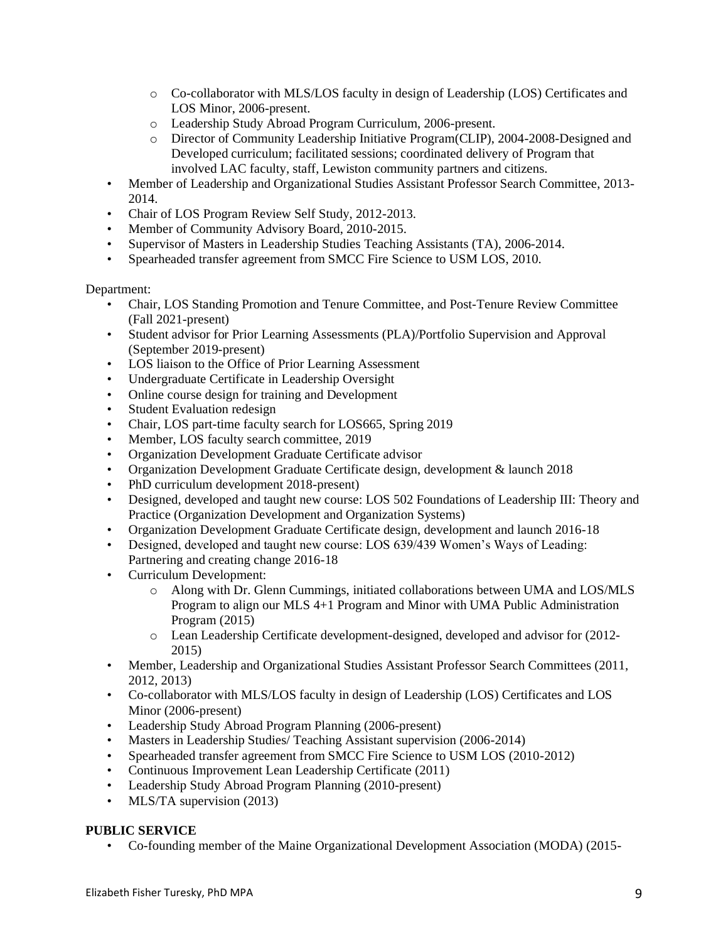- o Co-collaborator with MLS/LOS faculty in design of Leadership (LOS) Certificates and LOS Minor, 2006-present.
- o Leadership Study Abroad Program Curriculum, 2006-present.
- o Director of Community Leadership Initiative Program(CLIP), 2004-2008-Designed and Developed curriculum; facilitated sessions; coordinated delivery of Program that involved LAC faculty, staff, Lewiston community partners and citizens.
- Member of Leadership and Organizational Studies Assistant Professor Search Committee, 2013- 2014.
- Chair of LOS Program Review Self Study, 2012-2013.
- Member of Community Advisory Board, 2010-2015.
- Supervisor of Masters in Leadership Studies Teaching Assistants (TA), 2006-2014.
- Spearheaded transfer agreement from SMCC Fire Science to USM LOS, 2010.

## Department:

- Chair, LOS Standing Promotion and Tenure Committee, and Post-Tenure Review Committee (Fall 2021-present)
- Student advisor for Prior Learning Assessments (PLA)/Portfolio Supervision and Approval (September 2019-present)
- LOS liaison to the Office of Prior Learning Assessment
- Undergraduate Certificate in Leadership Oversight
- Online course design for training and Development
- Student Evaluation redesign
- Chair, LOS part-time faculty search for LOS665, Spring 2019
- Member, LOS faculty search committee, 2019
- Organization Development Graduate Certificate advisor
- Organization Development Graduate Certificate design, development & launch 2018
- PhD curriculum development 2018-present)
- Designed, developed and taught new course: LOS 502 Foundations of Leadership III: Theory and Practice (Organization Development and Organization Systems)
- Organization Development Graduate Certificate design, development and launch 2016-18
- Designed, developed and taught new course: LOS 639/439 Women's Ways of Leading: Partnering and creating change 2016-18
- Curriculum Development:
	- o Along with Dr. Glenn Cummings, initiated collaborations between UMA and LOS/MLS Program to align our MLS 4+1 Program and Minor with UMA Public Administration Program (2015)
	- o Lean Leadership Certificate development-designed, developed and advisor for (2012- 2015)
- Member, Leadership and Organizational Studies Assistant Professor Search Committees (2011, 2012, 2013)
- Co-collaborator with MLS/LOS faculty in design of Leadership (LOS) Certificates and LOS Minor (2006-present)
- Leadership Study Abroad Program Planning (2006-present)
- Masters in Leadership Studies/ Teaching Assistant supervision (2006-2014)
- Spearheaded transfer agreement from SMCC Fire Science to USM LOS (2010-2012)
- Continuous Improvement Lean Leadership Certificate (2011)
- Leadership Study Abroad Program Planning (2010-present)
- MLS/TA supervision (2013)

# **PUBLIC SERVICE**

• Co-founding member of the Maine Organizational Development Association (MODA) (2015-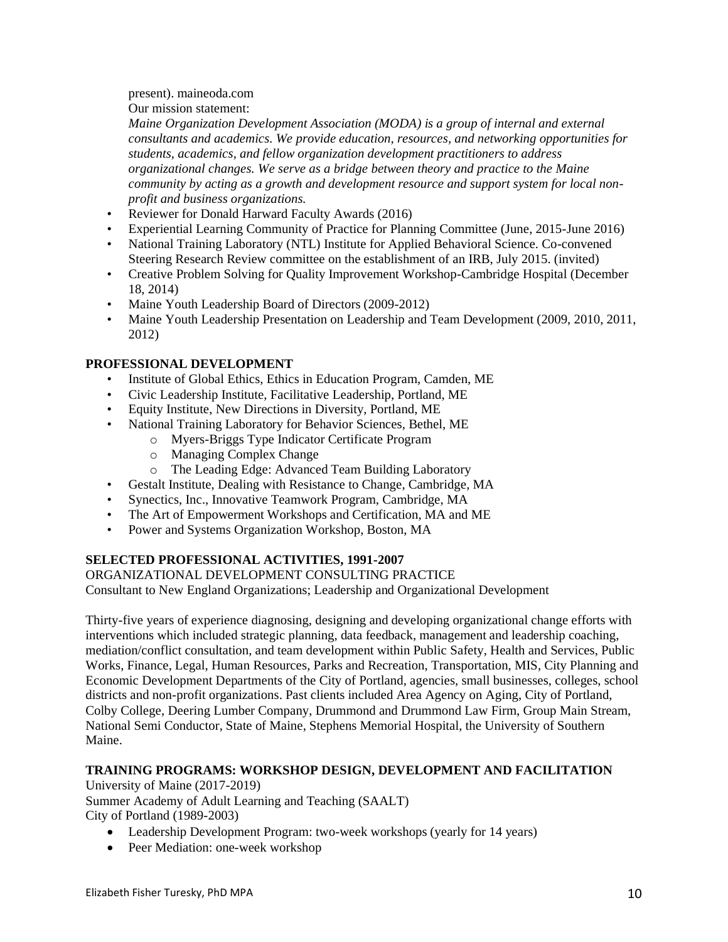present). maineoda.com Our mission statement:

*Maine Organization Development Association (MODA) is a group of internal and external consultants and academics. We provide education, resources, and networking opportunities for students, academics, and fellow organization development practitioners to address organizational changes. We serve as a bridge between theory and practice to the Maine community by acting as a growth and development resource and support system for local nonprofit and business organizations.* 

- Reviewer for Donald Harward Faculty Awards (2016)
- Experiential Learning Community of Practice for Planning Committee (June, 2015-June 2016)
- National Training Laboratory (NTL) Institute for Applied Behavioral Science. Co-convened Steering Research Review committee on the establishment of an IRB, July 2015. (invited)
- Creative Problem Solving for Quality Improvement Workshop-Cambridge Hospital (December 18, 2014)
- Maine Youth Leadership Board of Directors (2009-2012)
- Maine Youth Leadership Presentation on Leadership and Team Development (2009, 2010, 2011, 2012)

# **PROFESSIONAL DEVELOPMENT**

- Institute of Global Ethics, Ethics in Education Program, Camden, ME
- Civic Leadership Institute, Facilitative Leadership, Portland, ME
- Equity Institute, New Directions in Diversity, Portland, ME
- National Training Laboratory for Behavior Sciences, Bethel, ME
	- o Myers-Briggs Type Indicator Certificate Program
	- o Managing Complex Change
	- o The Leading Edge: Advanced Team Building Laboratory
- Gestalt Institute, Dealing with Resistance to Change, Cambridge, MA
- Synectics, Inc., Innovative Teamwork Program, Cambridge, MA
- The Art of Empowerment Workshops and Certification, MA and ME
- Power and Systems Organization Workshop, Boston, MA

# **SELECTED PROFESSIONAL ACTIVITIES, 1991-2007**

ORGANIZATIONAL DEVELOPMENT CONSULTING PRACTICE Consultant to New England Organizations; Leadership and Organizational Development

Thirty-five years of experience diagnosing, designing and developing organizational change efforts with interventions which included strategic planning, data feedback, management and leadership coaching, mediation/conflict consultation, and team development within Public Safety, Health and Services, Public Works, Finance, Legal, Human Resources, Parks and Recreation, Transportation, MIS, City Planning and Economic Development Departments of the City of Portland, agencies, small businesses, colleges, school districts and non-profit organizations. Past clients included Area Agency on Aging, City of Portland, Colby College, Deering Lumber Company, Drummond and Drummond Law Firm, Group Main Stream, National Semi Conductor, State of Maine, Stephens Memorial Hospital, the University of Southern Maine.

# **TRAINING PROGRAMS: WORKSHOP DESIGN, DEVELOPMENT AND FACILITATION**

University of Maine (2017-2019) Summer Academy of Adult Learning and Teaching (SAALT) City of Portland (1989-2003)

- Leadership Development Program: two-week workshops (yearly for 14 years)
- Peer Mediation: one-week workshop